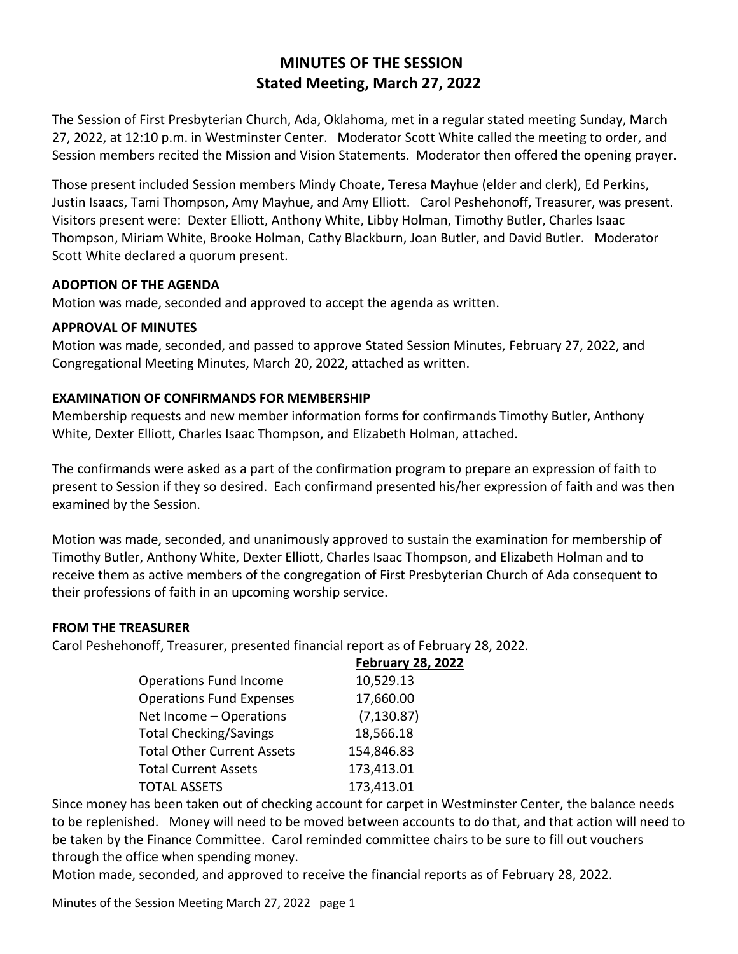# **MINUTES OF THE SESSION Stated Meeting, March 27, 2022**

The Session of First Presbyterian Church, Ada, Oklahoma, met in a regular stated meeting Sunday, March 27, 2022, at 12:10 p.m. in Westminster Center. Moderator Scott White called the meeting to order, and Session members recited the Mission and Vision Statements. Moderator then offered the opening prayer.

Those present included Session members Mindy Choate, Teresa Mayhue (elder and clerk), Ed Perkins, Justin Isaacs, Tami Thompson, Amy Mayhue, and Amy Elliott. Carol Peshehonoff, Treasurer, was present. Visitors present were: Dexter Elliott, Anthony White, Libby Holman, Timothy Butler, Charles Isaac Thompson, Miriam White, Brooke Holman, Cathy Blackburn, Joan Butler, and David Butler. Moderator Scott White declared a quorum present.

#### **ADOPTION OF THE AGENDA**

Motion was made, seconded and approved to accept the agenda as written.

#### **APPROVAL OF MINUTES**

Motion was made, seconded, and passed to approve Stated Session Minutes, February 27, 2022, and Congregational Meeting Minutes, March 20, 2022, attached as written.

## **EXAMINATION OF CONFIRMANDS FOR MEMBERSHIP**

Membership requests and new member information forms for confirmands Timothy Butler, Anthony White, Dexter Elliott, Charles Isaac Thompson, and Elizabeth Holman, attached.

The confirmands were asked as a part of the confirmation program to prepare an expression of faith to present to Session if they so desired. Each confirmand presented his/her expression of faith and was then examined by the Session.

Motion was made, seconded, and unanimously approved to sustain the examination for membership of Timothy Butler, Anthony White, Dexter Elliott, Charles Isaac Thompson, and Elizabeth Holman and to receive them as active members of the congregation of First Presbyterian Church of Ada consequent to their professions of faith in an upcoming worship service.

#### **FROM THE TREASURER**

Carol Peshehonoff, Treasurer, presented financial report as of February 28, 2022.

|                                   | <b>February 28, 2022</b> |
|-----------------------------------|--------------------------|
| <b>Operations Fund Income</b>     | 10,529.13                |
| <b>Operations Fund Expenses</b>   | 17,660.00                |
| Net Income - Operations           | (7, 130.87)              |
| <b>Total Checking/Savings</b>     | 18,566.18                |
| <b>Total Other Current Assets</b> | 154,846.83               |
| <b>Total Current Assets</b>       | 173,413.01               |
| <b>TOTAL ASSETS</b>               | 173,413.01               |

Since money has been taken out of checking account for carpet in Westminster Center, the balance needs to be replenished. Money will need to be moved between accounts to do that, and that action will need to be taken by the Finance Committee. Carol reminded committee chairs to be sure to fill out vouchers through the office when spending money.

Motion made, seconded, and approved to receive the financial reports as of February 28, 2022.

Minutes of the Session Meeting March 27, 2022 page 1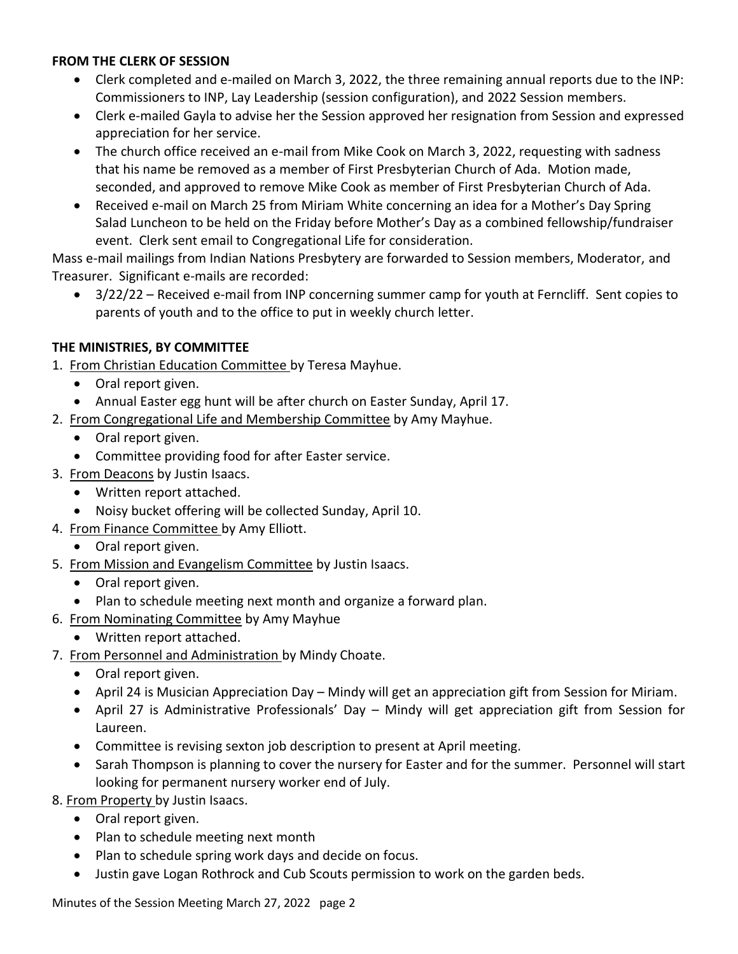#### **FROM THE CLERK OF SESSION**

- Clerk completed and e-mailed on March 3, 2022, the three remaining annual reports due to the INP: Commissioners to INP, Lay Leadership (session configuration), and 2022 Session members.
- Clerk e-mailed Gayla to advise her the Session approved her resignation from Session and expressed appreciation for her service.
- The church office received an e-mail from Mike Cook on March 3, 2022, requesting with sadness that his name be removed as a member of First Presbyterian Church of Ada. Motion made, seconded, and approved to remove Mike Cook as member of First Presbyterian Church of Ada.
- Received e-mail on March 25 from Miriam White concerning an idea for a Mother's Day Spring Salad Luncheon to be held on the Friday before Mother's Day as a combined fellowship/fundraiser event. Clerk sent email to Congregational Life for consideration.

Mass e-mail mailings from Indian Nations Presbytery are forwarded to Session members, Moderator, and Treasurer. Significant e-mails are recorded:

 3/22/22 – Received e-mail from INP concerning summer camp for youth at Ferncliff. Sent copies to parents of youth and to the office to put in weekly church letter.

## **THE MINISTRIES, BY COMMITTEE**

- 1. From Christian Education Committee by Teresa Mayhue.
	- Oral report given.
	- Annual Easter egg hunt will be after church on Easter Sunday, April 17.
- 2. From Congregational Life and Membership Committee by Amy Mayhue.
	- Oral report given.
	- Committee providing food for after Easter service.
- 3. From Deacons by Justin Isaacs.
	- Written report attached.
	- Noisy bucket offering will be collected Sunday, April 10.
- 4. From Finance Committee by Amy Elliott.
	- Oral report given.
- 5. From Mission and Evangelism Committee by Justin Isaacs.
	- Oral report given.
	- Plan to schedule meeting next month and organize a forward plan.
- 6. From Nominating Committee by Amy Mayhue
	- Written report attached.
- 7. From Personnel and Administration by Mindy Choate.
	- Oral report given.
	- April 24 is Musician Appreciation Day Mindy will get an appreciation gift from Session for Miriam.
	- April 27 is Administrative Professionals' Day Mindy will get appreciation gift from Session for Laureen.
	- Committee is revising sexton job description to present at April meeting.
	- Sarah Thompson is planning to cover the nursery for Easter and for the summer. Personnel will start looking for permanent nursery worker end of July.

8. From Property by Justin Isaacs.

- Oral report given.
- Plan to schedule meeting next month
- Plan to schedule spring work days and decide on focus.
- Justin gave Logan Rothrock and Cub Scouts permission to work on the garden beds.

Minutes of the Session Meeting March 27, 2022 page 2